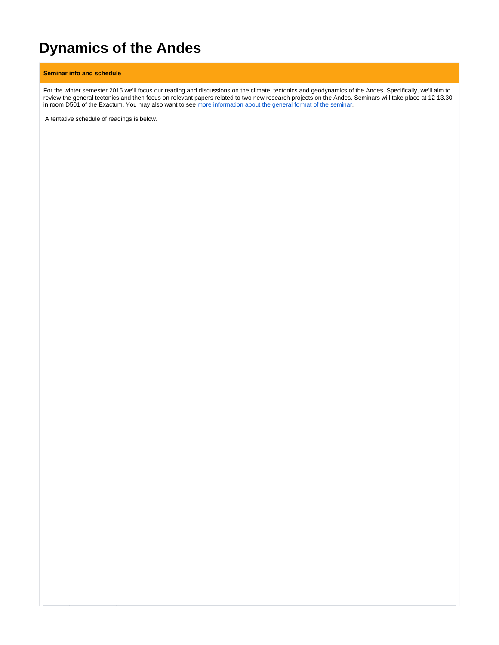# **Dynamics of the Andes**

## **Seminar info and schedule**

For the winter semester 2015 we'll focus our reading and discussions on the climate, tectonics and geodynamics of the Andes. Specifically, we'll aim to review the general tectonics and then focus on relevant papers related to two new research projects on the Andes. Seminars will take place at 12-13.30 in room D501 of the Exactum. You may also want to see [more information about the general format of the seminar](https://wiki.helsinki.fi/display/HUGG/Seminar+format).

A tentative schedule of readings is below.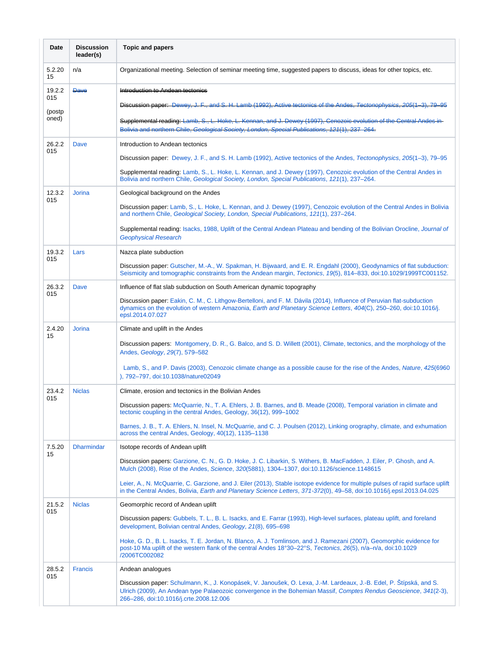| Date          | <b>Discussion</b><br>leader(s) | <b>Topic and papers</b>                                                                                                                                                                                                                                                             |
|---------------|--------------------------------|-------------------------------------------------------------------------------------------------------------------------------------------------------------------------------------------------------------------------------------------------------------------------------------|
| 5.2.20<br>15  | n/a                            | Organizational meeting. Selection of seminar meeting time, suggested papers to discuss, ideas for other topics, etc.                                                                                                                                                                |
| 19.2.2<br>015 | <b>Dave</b>                    | Introduction to Andean tectonics                                                                                                                                                                                                                                                    |
| (postp        |                                | Discussion paper: Dewey, J. F., and S. H. Lamb (1992), Active tectonics of the Andes.<br>Tectonophysics                                                                                                                                                                             |
| oned)         |                                | Supplemental reading: Lamb, S., L. Hoke, L. Kennan, and J. Dewey (1997), Cenozoic evolution of the Central Andes in<br>Bolivia and northern Chile, Goological Society, London, Spocial Publications, 121(1), 237 264.                                                               |
| 26.2.2<br>015 | Dave                           | Introduction to Andean tectonics                                                                                                                                                                                                                                                    |
|               |                                | Discussion paper: Dewey, J. F., and S. H. Lamb (1992), Active tectonics of the Andes, Tectonophysics, 205(1–3), 79–95                                                                                                                                                               |
|               |                                | Supplemental reading: Lamb, S., L. Hoke, L. Kennan, and J. Dewey (1997), Cenozoic evolution of the Central Andes in<br>Bolivia and northern Chile, Geological Society, London, Special Publications, 121(1), 237–264.                                                               |
| 12.3.2<br>015 | <b>Jorina</b>                  | Geological background on the Andes                                                                                                                                                                                                                                                  |
|               |                                | Discussion paper: Lamb, S., L. Hoke, L. Kennan, and J. Dewey (1997), Cenozoic evolution of the Central Andes in Bolivia<br>and northern Chile, Geological Society, London, Special Publications, 121(1), 237–264.                                                                   |
|               |                                | Supplemental reading: Isacks, 1988, Uplift of the Central Andean Plateau and bending of the Bolivian Orocline, Journal of<br><b>Geophysical Research</b>                                                                                                                            |
| 19.3.2<br>015 | Lars                           | Nazca plate subduction                                                                                                                                                                                                                                                              |
|               |                                | Discussion paper: Gutscher, M.-A., W. Spakman, H. Bijwaard, and E. R. Engdahl (2000), Geodynamics of flat subduction:<br>Seismicity and tomographic constraints from the Andean margin, Tectonics, 19(5), 814–833, doi:10.1029/1999TC001152.                                        |
| 26.3.2<br>015 | <b>Dave</b>                    | Influence of flat slab subduction on South American dynamic topography                                                                                                                                                                                                              |
|               |                                | Discussion paper: Eakin, C. M., C. Lithgow-Bertelloni, and F. M. Dávila (2014), Influence of Peruvian flat-subduction<br>dynamics on the evolution of western Amazonia, Earth and Planetary Science Letters, 404(C), 250-260, doi:10.1016/j.<br>epsl.2014.07.027                    |
| 2.4.20<br>15  | <b>Jorina</b>                  | Climate and uplift in the Andes                                                                                                                                                                                                                                                     |
|               |                                | Discussion papers: Montgomery, D. R., G. Balco, and S. D. Willett (2001), Climate, tectonics, and the morphology of the<br>Andes, Geology, 29(7), 579-582                                                                                                                           |
|               |                                | Lamb, S., and P. Davis (2003), Cenozoic climate change as a possible cause for the rise of the Andes, Nature, 425(6960<br>). 792-797. doi:10.1038/nature02049                                                                                                                       |
| 23.4.2<br>015 | <b>Niclas</b>                  | Climate, erosion and tectonics in the Bolivian Andes                                                                                                                                                                                                                                |
|               |                                | Discussion papers: McQuarrie, N., T. A. Ehlers, J. B. Barnes, and B. Meade (2008), Temporal variation in climate and<br>tectonic coupling in the central Andes, Geology, 36(12), 999-1002                                                                                           |
|               |                                | Barnes, J. B., T. A. Ehlers, N. Insel, N. McQuarrie, and C. J. Poulsen (2012), Linking orography, climate, and exhumation<br>across the central Andes, Geology, 40(12), 1135-1138                                                                                                   |
| 7.5.20<br>15  | <b>Dharmindar</b>              | Isotope records of Andean uplift                                                                                                                                                                                                                                                    |
|               |                                | Discussion papers: Garzione, C. N., G. D. Hoke, J. C. Libarkin, S. Withers, B. MacFadden, J. Eiler, P. Ghosh, and A.<br>Mulch (2008), Rise of the Andes, Science, 320(5881), 1304-1307, doi:10.1126/science.1148615                                                                 |
|               |                                | Leier, A., N. McQuarrie, C. Garzione, and J. Eiler (2013), Stable isotope evidence for multiple pulses of rapid surface uplift<br>in the Central Andes, Bolivia, <i>Earth and Planetary Science Letters</i> , 371-372(0), 49-58, doi:10.1016/j.epsl.2013.04.025                     |
| 21.5.2<br>015 | <b>Niclas</b>                  | Geomorphic record of Andean uplift                                                                                                                                                                                                                                                  |
|               |                                | Discussion papers: Gubbels, T. L., B. L. Isacks, and E. Farrar (1993), High-level surfaces, plateau uplift, and foreland<br>development, Bolivian central Andes, Geology, 21(8), 695-698                                                                                            |
|               |                                | Hoke, G. D., B. L. Isacks, T. E. Jordan, N. Blanco, A. J. Tomlinson, and J. Ramezani (2007), Geomorphic evidence for<br>post-10 Ma uplift of the western flank of the central Andes 18°30–22°S, Tectonics, 26(5), n/a–n/a, doi:10.1029<br>/2006TC002082                             |
| 28.5.2<br>015 | <b>Francis</b>                 | Andean analogues                                                                                                                                                                                                                                                                    |
|               |                                | Discussion paper: Schulmann, K., J. Konopásek, V. Janoušek, O. Lexa, J.-M. Lardeaux, J.-B. Edel, P. Štípská, and S.<br>Ulrich (2009), An Andean type Palaeozoic convergence in the Bohemian Massif, Comptes Rendus Geoscience, 341(2-3),<br>266-286, doi:10.1016/j.crte.2008.12.006 |